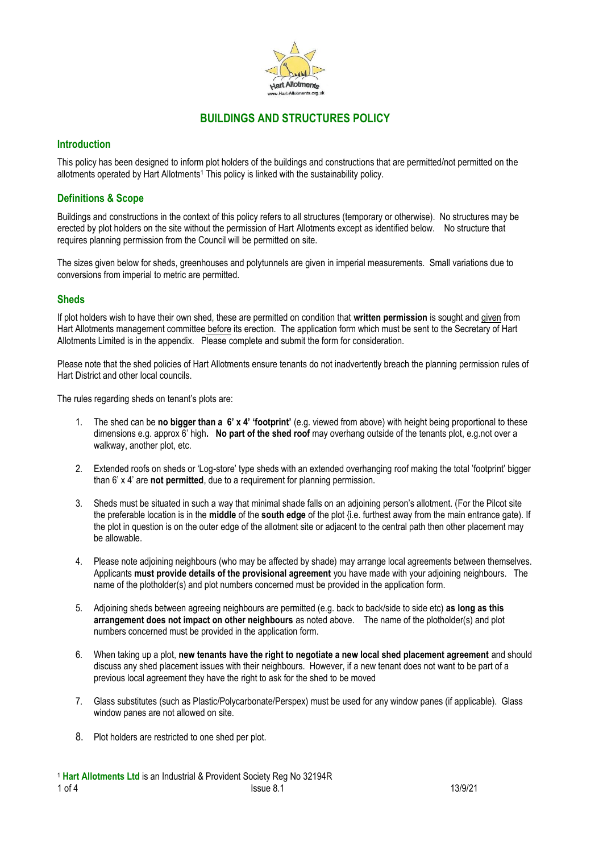

# **BUILDINGS AND STRUCTURES POLICY**

# **Introduction**

This policy has been designed to inform plot holders of the buildings and constructions that are permitted/not permitted on the allotments operated by Hart Allotments<sup>1</sup> This policy is linked with the sustainability policy.

# **Definitions & Scope**

Buildings and constructions in the context of this policy refers to all structures (temporary or otherwise). No structures may be erected by plot holders on the site without the permission of Hart Allotments except as identified below. No structure that requires planning permission from the Council will be permitted on site.

The sizes given below for sheds, greenhouses and polytunnels are given in imperial measurements. Small variations due to conversions from imperial to metric are permitted.

# **Sheds**

If plot holders wish to have their own shed, these are permitted on condition that **written permission** is sought and given from Hart Allotments management committee before its erection. The application form which must be sent to the Secretary of Hart Allotments Limited is in the appendix. Please complete and submit the form for consideration.

Please note that the shed policies of Hart Allotments ensure tenants do not inadvertently breach the planning permission rules of Hart District and other local councils.

The rules regarding sheds on tenant's plots are:

- 1. The shed can be **no bigger than a 6' x 4' 'footprint'** (e.g. viewed from above) with height being proportional to these dimensions e.g. approx 6' high**. No part of the shed roof** may overhang outside of the tenants plot, e.g.not over a walkway, another plot, etc.
- 2. Extended roofs on sheds or 'Log-store' type sheds with an extended overhanging roof making the total 'footprint' bigger than 6' x 4' are **not permitted**, due to a requirement for planning permission.
- 3. Sheds must be situated in such a way that minimal shade falls on an adjoining person's allotment. (For the Pilcot site the preferable location is in the **middle** of the **south edge** of the plot {i.e. furthest away from the main entrance gate). If the plot in question is on the outer edge of the allotment site or adjacent to the central path then other placement may be allowable.
- 4. Please note adjoining neighbours (who may be affected by shade) may arrange local agreements between themselves. Applicants **must provide details of the provisional agreement** you have made with your adjoining neighbours. The name of the plotholder(s) and plot numbers concerned must be provided in the application form.
- 5. Adjoining sheds between agreeing neighbours are permitted (e.g. back to back/side to side etc) **as long as this arrangement does not impact on other neighbours** as noted above. The name of the plotholder(s) and plot numbers concerned must be provided in the application form.
- 6. When taking up a plot, **new tenants have the right to negotiate a new local shed placement agreement** and should discuss any shed placement issues with their neighbours. However, if a new tenant does not want to be part of a previous local agreement they have the right to ask for the shed to be moved
- 7. Glass substitutes (such as Plastic/Polycarbonate/Perspex) must be used for any window panes (if applicable). Glass window panes are not allowed on site.
- 8. Plot holders are restricted to one shed per plot.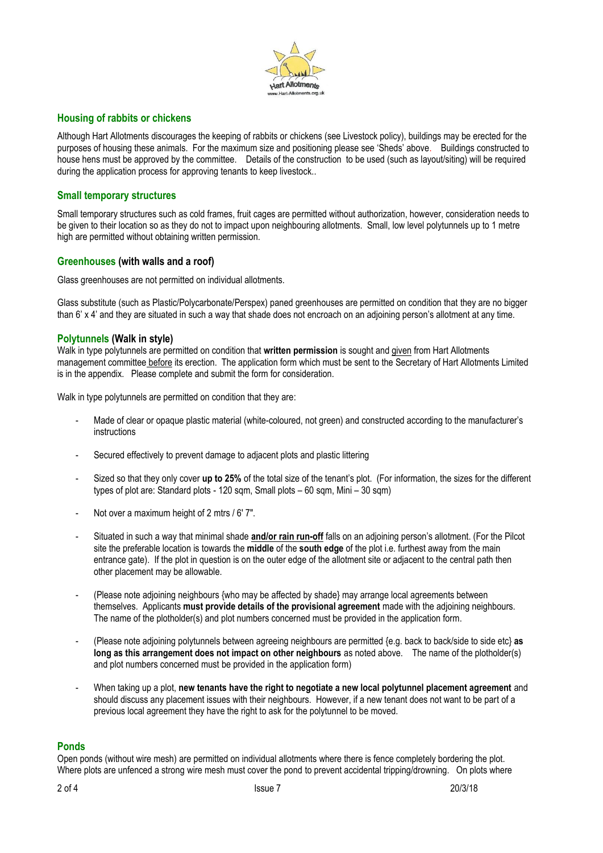

# **Housing of rabbits or chickens**

Although Hart Allotments discourages the keeping of rabbits or chickens (see Livestock policy), buildings may be erected for the purposes of housing these animals. For the maximum size and positioning please see 'Sheds' above. Buildings constructed to house hens must be approved by the committee. Details of the construction to be used (such as layout/siting) will be required during the application process for approving tenants to keep livestock..

#### **Small temporary structures**

Small temporary structures such as cold frames, fruit cages are permitted without authorization, however, consideration needs to be given to their location so as they do not to impact upon neighbouring allotments. Small, low level polytunnels up to 1 metre high are permitted without obtaining written permission.

### **Greenhouses (with walls and a roof)**

Glass greenhouses are not permitted on individual allotments.

Glass substitute (such as Plastic/Polycarbonate/Perspex) paned greenhouses are permitted on condition that they are no bigger than 6' x 4' and they are situated in such a way that shade does not encroach on an adjoining person's allotment at any time.

#### **Polytunnels (Walk in style)**

Walk in type polytunnels are permitted on condition that **written permission** is sought and given from Hart Allotments management committee before its erection. The application form which must be sent to the Secretary of Hart Allotments Limited is in the appendix. Please complete and submit the form for consideration.

Walk in type polytunnels are permitted on condition that they are:

- Made of clear or opaque plastic material (white-coloured, not green) and constructed according to the manufacturer's instructions
- Secured effectively to prevent damage to adjacent plots and plastic littering
- Sized so that they only cover **up to 25%** of the total size of the tenant's plot. (For information, the sizes for the different types of plot are: Standard plots - 120 sqm, Small plots – 60 sqm, Mini – 30 sqm)
- Not over a maximum height of 2 mtrs / 6' 7".
- Situated in such a way that minimal shade **and/or rain run-off** falls on an adjoining person's allotment. (For the Pilcot site the preferable location is towards the **middle** of the **south edge** of the plot i.e. furthest away from the main entrance gate). If the plot in question is on the outer edge of the allotment site or adjacent to the central path then other placement may be allowable.
- (Please note adjoining neighbours {who may be affected by shade} may arrange local agreements between themselves. Applicants **must provide details of the provisional agreement** made with the adjoining neighbours. The name of the plotholder(s) and plot numbers concerned must be provided in the application form.
- (Please note adjoining polytunnels between agreeing neighbours are permitted {e.g. back to back/side to side etc} **as long as this arrangement does not impact on other neighbours** as noted above. The name of the plotholder(s) and plot numbers concerned must be provided in the application form)
- When taking up a plot, **new tenants have the right to negotiate a new local polytunnel placement agreement** and should discuss any placement issues with their neighbours. However, if a new tenant does not want to be part of a previous local agreement they have the right to ask for the polytunnel to be moved.

#### **Ponds**

Open ponds (without wire mesh) are permitted on individual allotments where there is fence completely bordering the plot. Where plots are unfenced a strong wire mesh must cover the pond to prevent accidental tripping/drowning. On plots where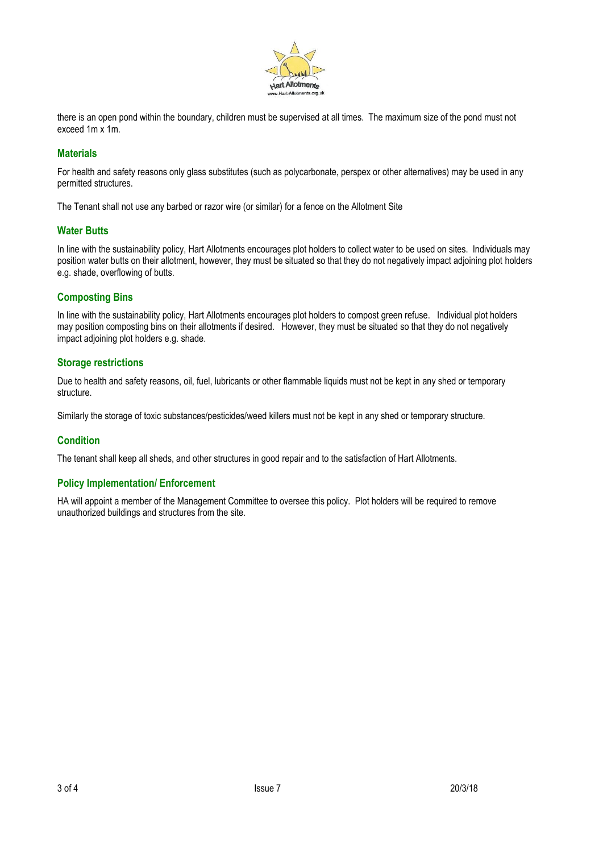

there is an open pond within the boundary, children must be supervised at all times. The maximum size of the pond must not exceed 1m x 1m.

# **Materials**

For health and safety reasons only glass substitutes (such as polycarbonate, perspex or other alternatives) may be used in any permitted structures.

The Tenant shall not use any barbed or razor wire (or similar) for a fence on the Allotment Site

# **Water Butts**

In line with the sustainability policy, Hart Allotments encourages plot holders to collect water to be used on sites. Individuals may position water butts on their allotment, however, they must be situated so that they do not negatively impact adjoining plot holders e.g. shade, overflowing of butts.

# **Composting Bins**

In line with the sustainability policy, Hart Allotments encourages plot holders to compost green refuse. Individual plot holders may position composting bins on their allotments if desired. However, they must be situated so that they do not negatively impact adjoining plot holders e.g. shade.

# **Storage restrictions**

Due to health and safety reasons, oil, fuel, lubricants or other flammable liquids must not be kept in any shed or temporary structure.

Similarly the storage of toxic substances/pesticides/weed killers must not be kept in any shed or temporary structure.

# **Condition**

The tenant shall keep all sheds, and other structures in good repair and to the satisfaction of Hart Allotments.

# **Policy Implementation/ Enforcement**

HA will appoint a member of the Management Committee to oversee this policy. Plot holders will be required to remove unauthorized buildings and structures from the site.